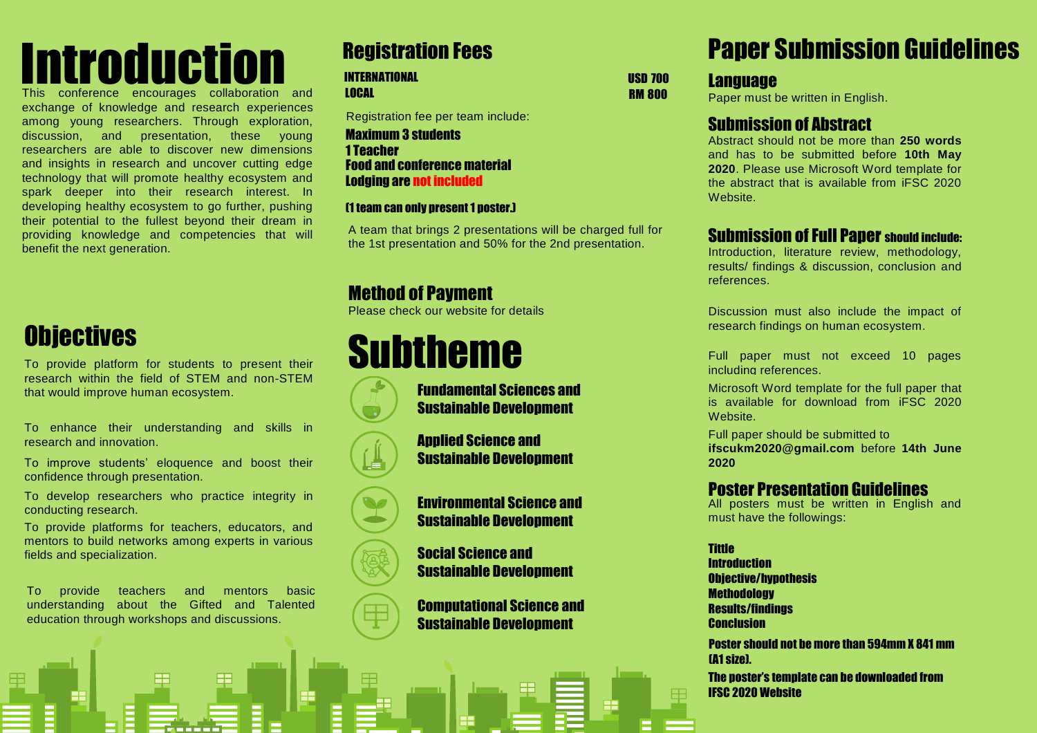# **Introduction**

This conference encourages collaboration and exchange of knowledge and research experiences among young researchers. Through exploration, discussion, and presentation, these young researchers are able to discover new dimensions and insights in research and uncover cutting edge technology that will promote healthy ecosystem and spark deeper into their research interest. In developing healthy ecosystem to go further, pushing their potential to the fullest beyond their dream in providing knowledge and competencies that will benefit the next generation.

## **Objectives**

To provide platform for students to present their research within the field of STEM and non-STEM that would improve human ecosystem.

To enhance their understanding and skills in research and innovation.

To improve students' eloquence and boost their confidence through presentation.

To develop researchers who practice integrity in conducting research.

To provide platforms for teachers, educators, and mentors to build networks among experts in various fields and specialization.

To provide teachers and mentors basic understanding about the Gifted and Talented education through workshops and discussions.

#### INTERNATIONAL

LOCAL

Registration fee per team include:

Lodging are not included Food and conference material 1 Teacher Maximum 3 students

#### (1 team can only present 1 poster.)

A team that brings 2 presentations will be charged full for the 1st presentation and 50% for the 2nd presentation.

> Fundamental Sciences and Sustainable Development

Applied Science and Sustainable Development

#### Method of Payment

Please check our website for details

## Subtheme











Social Science and Sustainable Development

Computational Science and Sustainable Development

## Registration Fees Paper Submission Guidelines

USD 700 RM 800 **Language** 

Paper must be written in English.

#### Submission of Abstract

Abstract should not be more than **250 words** and has to be submitted before **10th May 2020**. Please use Microsoft Word template for the abstract that is available from iFSC 2020 Website.

#### Submission of Full Paper should include:

Introduction, literature review, methodology, results/ findings & discussion, conclusion and references.

Discussion must also include the impact of research findings on human ecosystem.

Full paper must not exceed 10 pages including references.

Microsoft Word template for the full paper that is available for download from iFSC 2020 Website.

Full paper should be submitted to **[ifscukm2020@gmail.com](mailto:ifscukm2020@gmail.com)** before **14th June 2020**

#### Poster Presentation Guidelines

All posters must be written in English and must have the followings:

**Tittle Introduction** Objective/hypothesis **Methodology** Results/findings **Conclusion** 

Poster should not be more than 594mm X 841 mm (A1 size).

The poster's template can be downloaded from IFSC 2020 Website